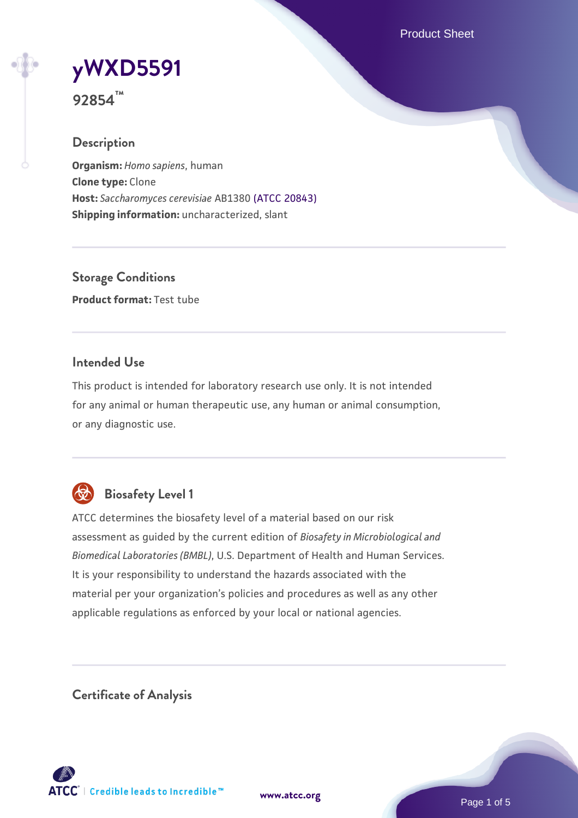Product Sheet

# **[yWXD5591](https://www.atcc.org/products/92854)**

**92854™**

## **Description**

**Organism:** *Homo sapiens*, human **Clone type:** Clone **Host:** *Saccharomyces cerevisiae* AB1380 [\(ATCC 20843\)](https://www.atcc.org/products/20843) **Shipping information:** uncharacterized, slant

**Storage Conditions Product format:** Test tube

## **Intended Use**

This product is intended for laboratory research use only. It is not intended for any animal or human therapeutic use, any human or animal consumption, or any diagnostic use.



# **Biosafety Level 1**

ATCC determines the biosafety level of a material based on our risk assessment as guided by the current edition of *Biosafety in Microbiological and Biomedical Laboratories (BMBL)*, U.S. Department of Health and Human Services. It is your responsibility to understand the hazards associated with the material per your organization's policies and procedures as well as any other applicable regulations as enforced by your local or national agencies.

**Certificate of Analysis**

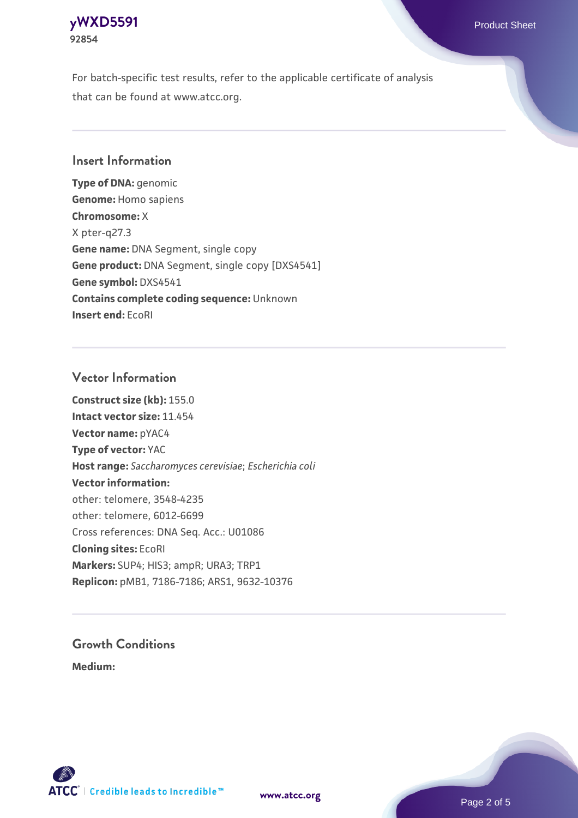## **[yWXD5591](https://www.atcc.org/products/92854)** Product Sheet **92854**

For batch-specific test results, refer to the applicable certificate of analysis that can be found at www.atcc.org.

## **Insert Information**

**Type of DNA:** genomic **Genome:** Homo sapiens **Chromosome:** X X pter-q27.3 **Gene name:** DNA Segment, single copy **Gene product:** DNA Segment, single copy [DXS4541] **Gene symbol:** DXS4541 **Contains complete coding sequence:** Unknown **Insert end:** EcoRI

## **Vector Information**

**Construct size (kb):** 155.0 **Intact vector size:** 11.454 **Vector name:** pYAC4 **Type of vector:** YAC **Host range:** *Saccharomyces cerevisiae*; *Escherichia coli* **Vector information:** other: telomere, 3548-4235 other: telomere, 6012-6699 Cross references: DNA Seq. Acc.: U01086 **Cloning sites:** EcoRI **Markers:** SUP4; HIS3; ampR; URA3; TRP1 **Replicon:** pMB1, 7186-7186; ARS1, 9632-10376

# **Growth Conditions**

**Medium:** 



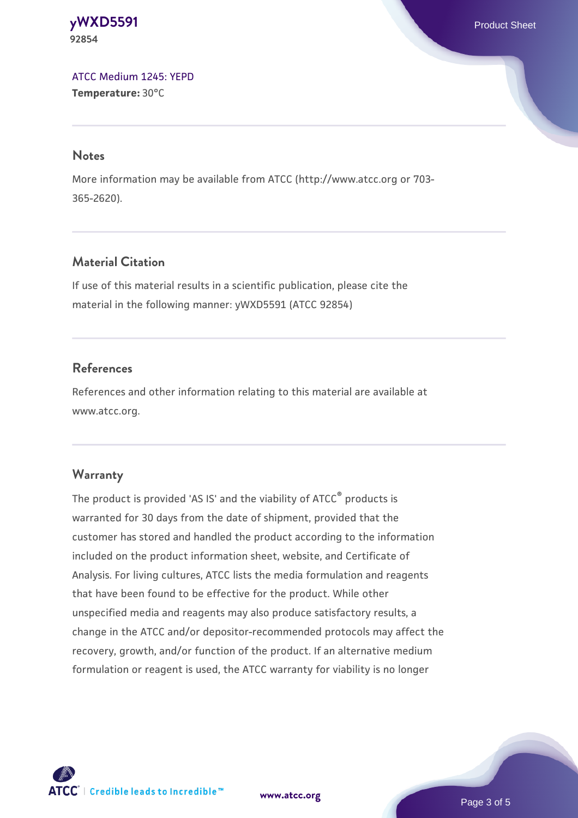**[yWXD5591](https://www.atcc.org/products/92854)** Product Sheet **92854**

[ATCC Medium 1245: YEPD](https://www.atcc.org/-/media/product-assets/documents/microbial-media-formulations/1/2/4/5/atcc-medium-1245.pdf?rev=705ca55d1b6f490a808a965d5c072196) **Temperature:** 30°C

#### **Notes**

More information may be available from ATCC (http://www.atcc.org or 703- 365-2620).

## **Material Citation**

If use of this material results in a scientific publication, please cite the material in the following manner: yWXD5591 (ATCC 92854)

## **References**

References and other information relating to this material are available at www.atcc.org.

#### **Warranty**

The product is provided 'AS IS' and the viability of ATCC® products is warranted for 30 days from the date of shipment, provided that the customer has stored and handled the product according to the information included on the product information sheet, website, and Certificate of Analysis. For living cultures, ATCC lists the media formulation and reagents that have been found to be effective for the product. While other unspecified media and reagents may also produce satisfactory results, a change in the ATCC and/or depositor-recommended protocols may affect the recovery, growth, and/or function of the product. If an alternative medium formulation or reagent is used, the ATCC warranty for viability is no longer

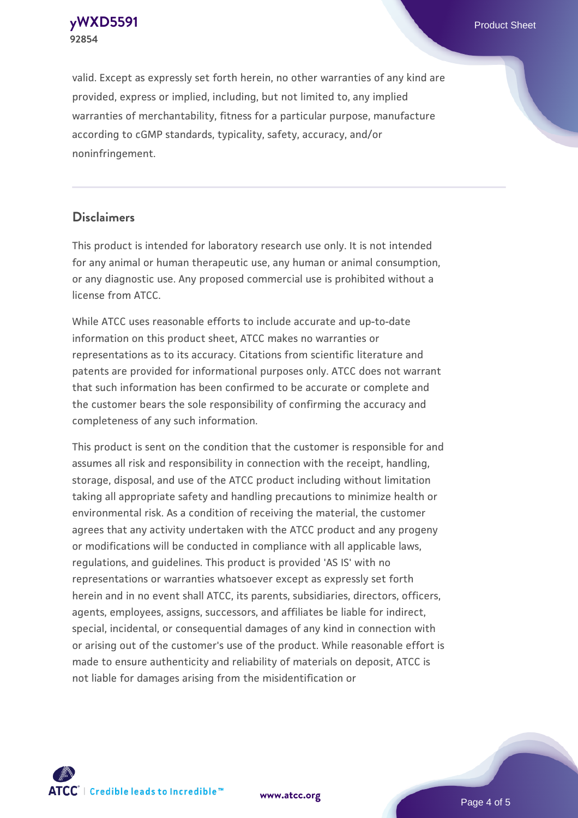**[yWXD5591](https://www.atcc.org/products/92854)** Product Sheet **92854**

valid. Except as expressly set forth herein, no other warranties of any kind are provided, express or implied, including, but not limited to, any implied warranties of merchantability, fitness for a particular purpose, manufacture according to cGMP standards, typicality, safety, accuracy, and/or noninfringement.

#### **Disclaimers**

This product is intended for laboratory research use only. It is not intended for any animal or human therapeutic use, any human or animal consumption, or any diagnostic use. Any proposed commercial use is prohibited without a license from ATCC.

While ATCC uses reasonable efforts to include accurate and up-to-date information on this product sheet, ATCC makes no warranties or representations as to its accuracy. Citations from scientific literature and patents are provided for informational purposes only. ATCC does not warrant that such information has been confirmed to be accurate or complete and the customer bears the sole responsibility of confirming the accuracy and completeness of any such information.

This product is sent on the condition that the customer is responsible for and assumes all risk and responsibility in connection with the receipt, handling, storage, disposal, and use of the ATCC product including without limitation taking all appropriate safety and handling precautions to minimize health or environmental risk. As a condition of receiving the material, the customer agrees that any activity undertaken with the ATCC product and any progeny or modifications will be conducted in compliance with all applicable laws, regulations, and guidelines. This product is provided 'AS IS' with no representations or warranties whatsoever except as expressly set forth herein and in no event shall ATCC, its parents, subsidiaries, directors, officers, agents, employees, assigns, successors, and affiliates be liable for indirect, special, incidental, or consequential damages of any kind in connection with or arising out of the customer's use of the product. While reasonable effort is made to ensure authenticity and reliability of materials on deposit, ATCC is not liable for damages arising from the misidentification or



**[www.atcc.org](http://www.atcc.org)**

Page 4 of 5